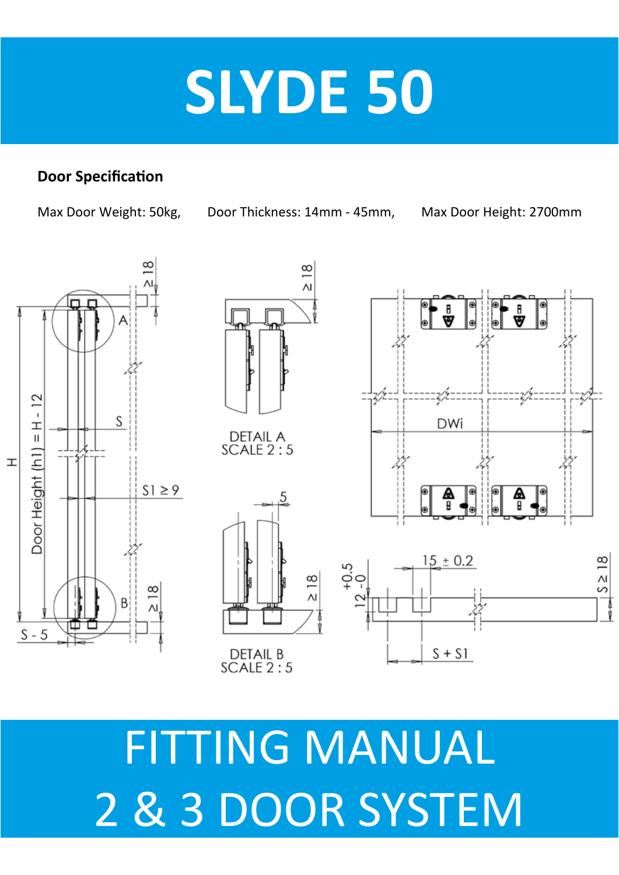# **SLYDE 50**

#### **Door Specification**

Max Door Weight: 50kg, Door Thickness: 14mm - 45mm, Max Door Height: 2700mm





# FITTING MANUAL 2 & 3 DOOR SYSTEM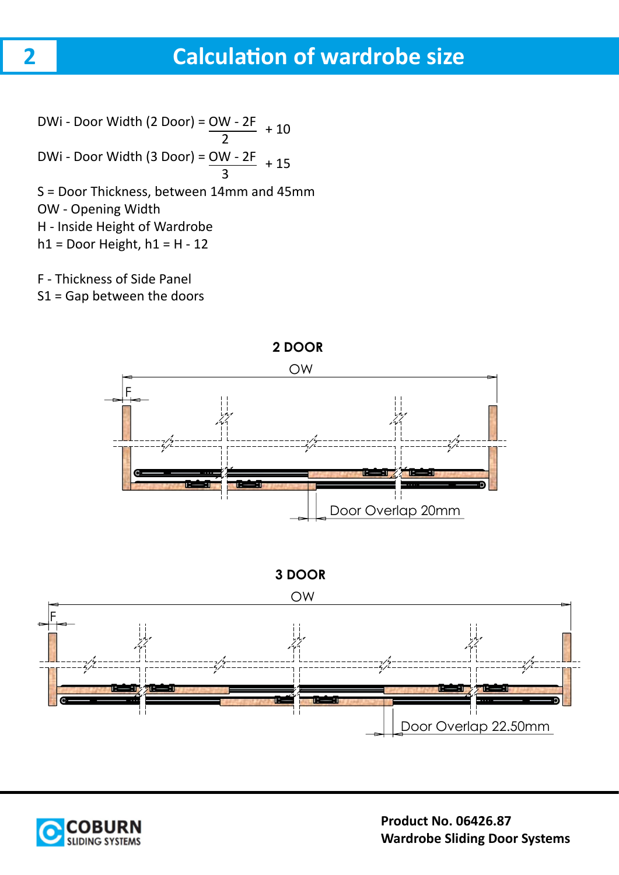# **Calculation of wardrobe size**

DWi - Door Width (2 Door) = OW - 2F 2 DWi - Door Width (3 Door) = OW - 2F 3 S = Door Thickness, between 14mm and 45mm OW - Opening Width H - Inside Height of Wardrobe  $h1$  = Door Height,  $h1$  = H - 12 + 10 + 15

F - Thickness of Side Panel

S1 = Gap between the doors



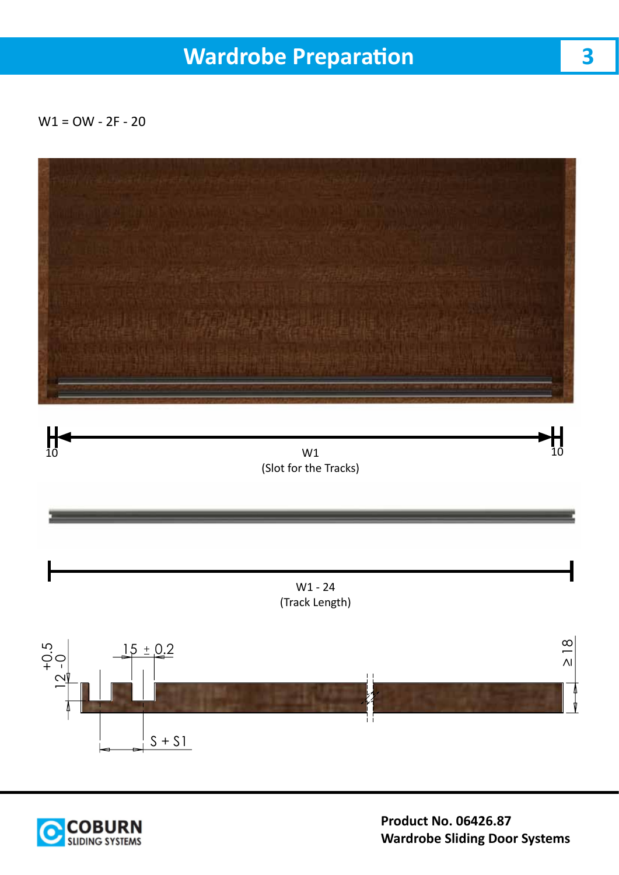# **Wardrobe Preparation**

 $W1 = OW - 2F - 20$ 



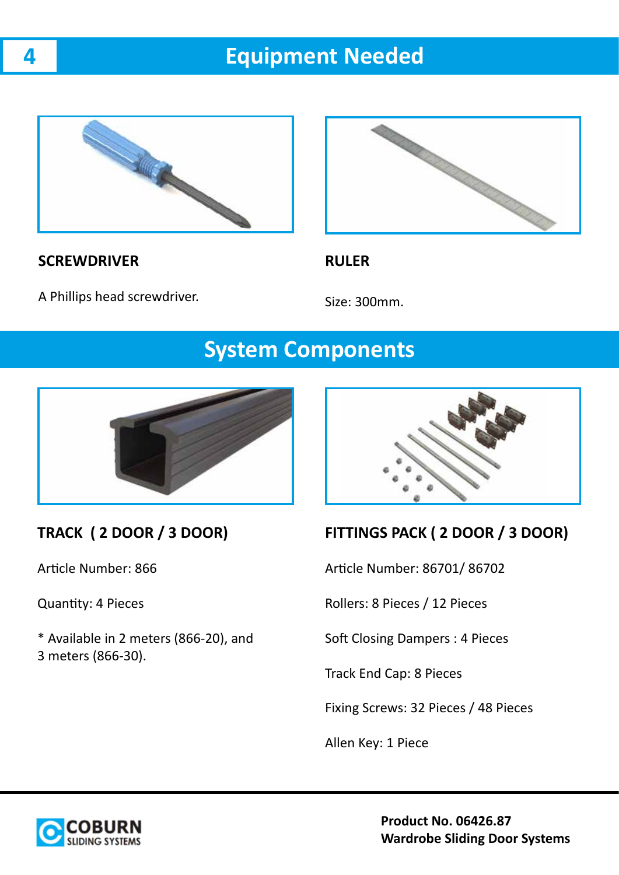# **Equipment Needed**



### **SCREWDRIVER**



#### **RULER**

A Phillips head screwdriver.

Size: 300mm.

## **System Components**



#### **TRACK ( 2 DOOR / 3 DOOR)**

Article Number: 866

Quantity: 4 Pieces

\* Available in 2 meters (866-20), and 3 meters (866-30).



#### **FITTINGS PACK ( 2 DOOR / 3 DOOR)**

Article Number: 86701/ 86702

Rollers: 8 Pieces / 12 Pieces

Soft Closing Dampers : 4 Pieces

Track End Cap: 8 Pieces

Fixing Screws: 32 Pieces / 48 Pieces

Allen Key: 1 Piece



**Product No. 06426.87 Wardrobe Sliding Door Systems**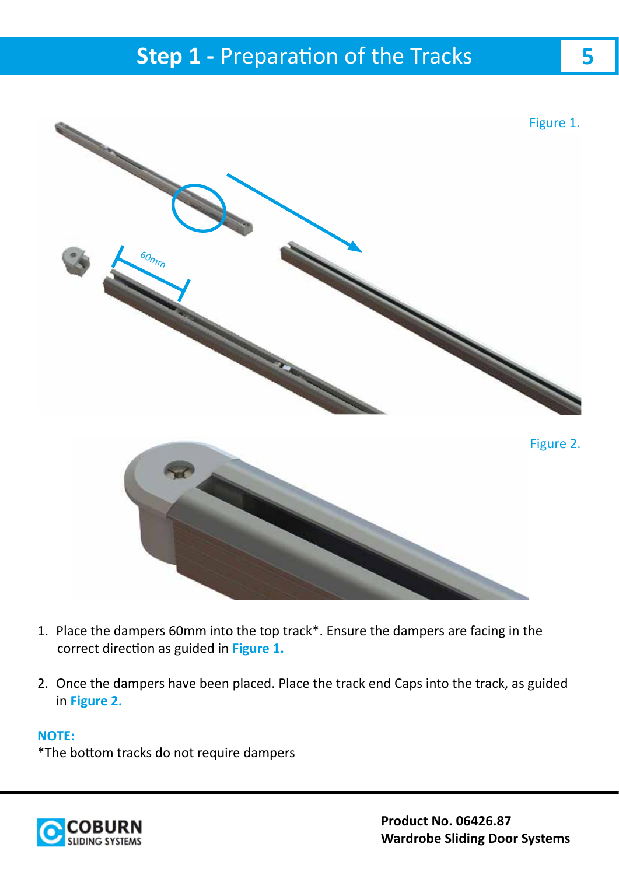

- 1. Place the dampers 60mm into the top track\*. Ensure the dampers are facing in the correct direction as guided in **Figure 1.**
- 2. Once the dampers have been placed. Place the track end Caps into the track, as guided in **Figure 2.**

#### **NOTE:**

\*The bottom tracks do not require dampers

![](_page_4_Picture_6.jpeg)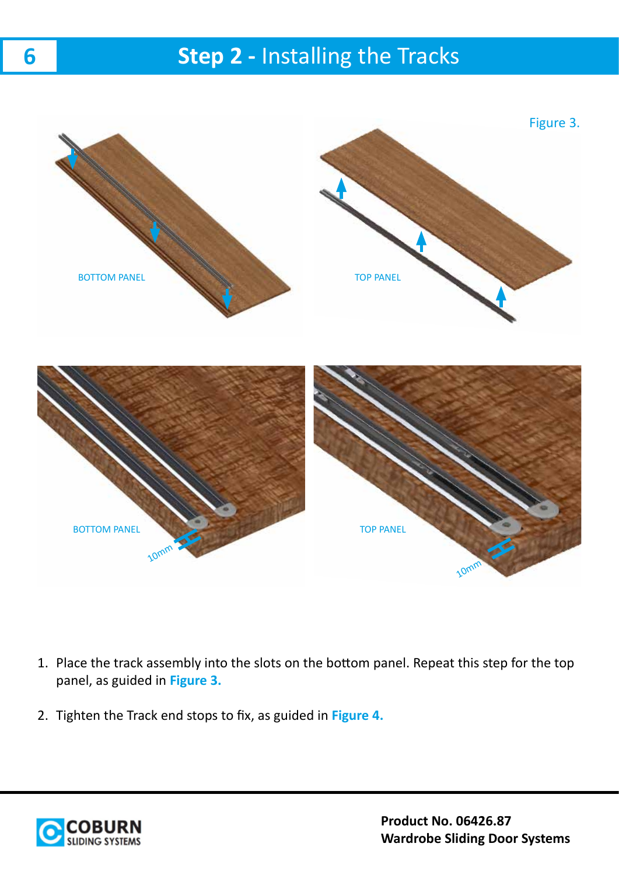# **Step 2 - Installing the Tracks**

![](_page_5_Picture_1.jpeg)

- 1. Place the track assembly into the slots on the bottom panel. Repeat this step for the top panel, as guided in **Figure 3.**
- 2. Tighten the Track end stops to fix, as guided in **Figure 4.**

![](_page_5_Picture_4.jpeg)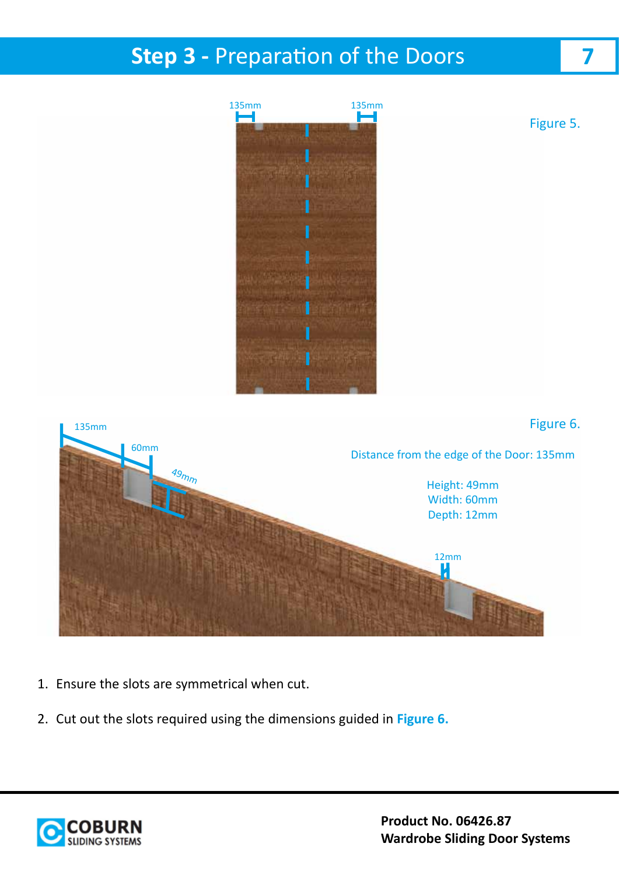# **Step 3 - Preparation of the Doors**

![](_page_6_Picture_1.jpeg)

- 1. Ensure the slots are symmetrical when cut.
- 2. Cut out the slots required using the dimensions guided in **Figure 6.**

![](_page_6_Picture_4.jpeg)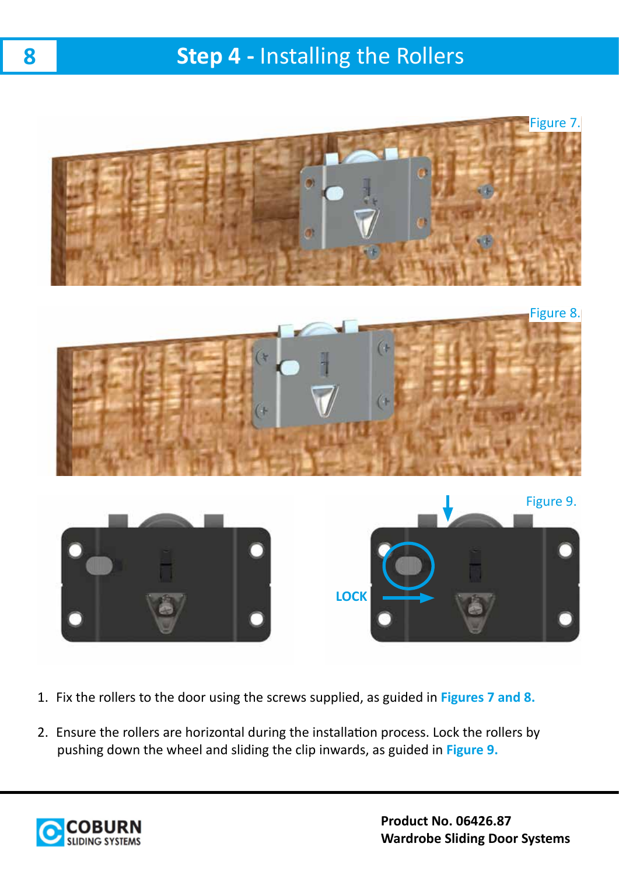# **Step 4 -** Installing the Rollers

![](_page_7_Picture_1.jpeg)

- 1. Fix the rollers to the door using the screws supplied, as guided in **Figures 7 and 8.**
- 2. Ensure the rollers are horizontal during the installation process. Lock the rollers by pushing down the wheel and sliding the clip inwards, as guided in **Figure 9.**

![](_page_7_Picture_4.jpeg)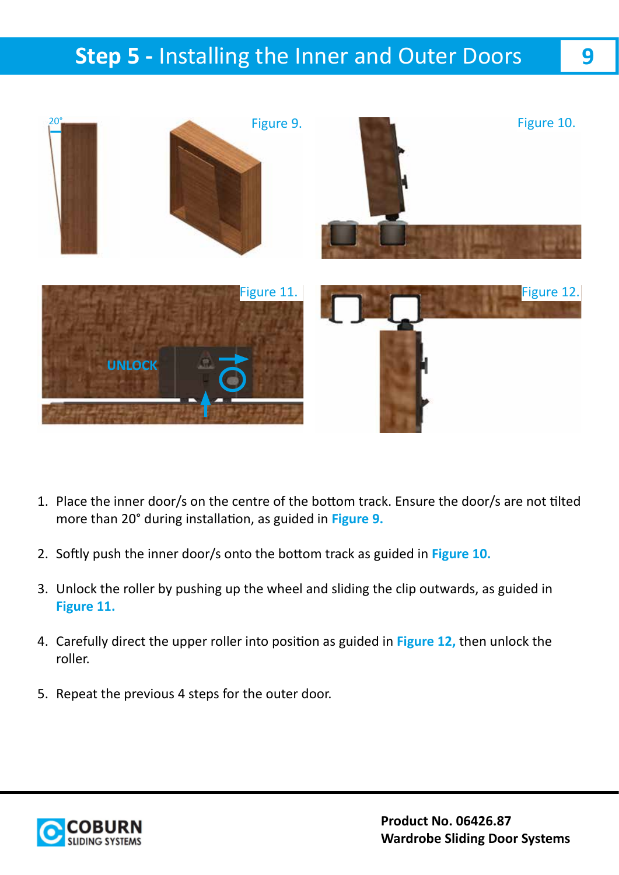# **Step 5 -** Installing the Inner and Outer Doors

![](_page_8_Picture_1.jpeg)

- 1. Place the inner door/s on the centre of the bottom track. Ensure the door/s are not tilted more than 20° during installation, as guided in **Figure 9.**
- 2. Softly push the inner door/s onto the bottom track as guided in **Figure 10.**
- 3. Unlock the roller by pushing up the wheel and sliding the clip outwards, as guided in **Figure 11.**
- 4. Carefully direct the upper roller into position as guided in **Figure 12,** then unlock the roller.
- 5. Repeat the previous 4 steps for the outer door.

![](_page_8_Picture_7.jpeg)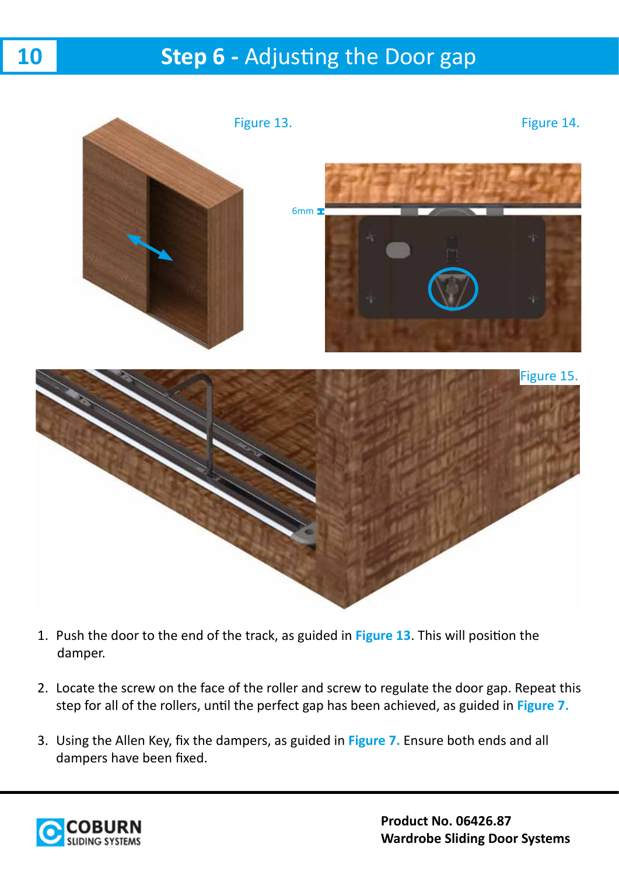# **Step 6 - Adjusting the Door gap**

![](_page_9_Picture_1.jpeg)

- 1. Push the door to the end of the track, as guided in **Figure 13**. This will position the damper.
- 2. Locate the screw on the face of the roller and screw to regulate the door gap. Repeat this step for all of the rollers, until the perfect gap has been achieved, as guided in **Figure 7.**
- 3. Using the Allen Key, fix the dampers, as guided in **Figure 7.** Ensure both ends and all dampers have been fixed.

![](_page_9_Picture_5.jpeg)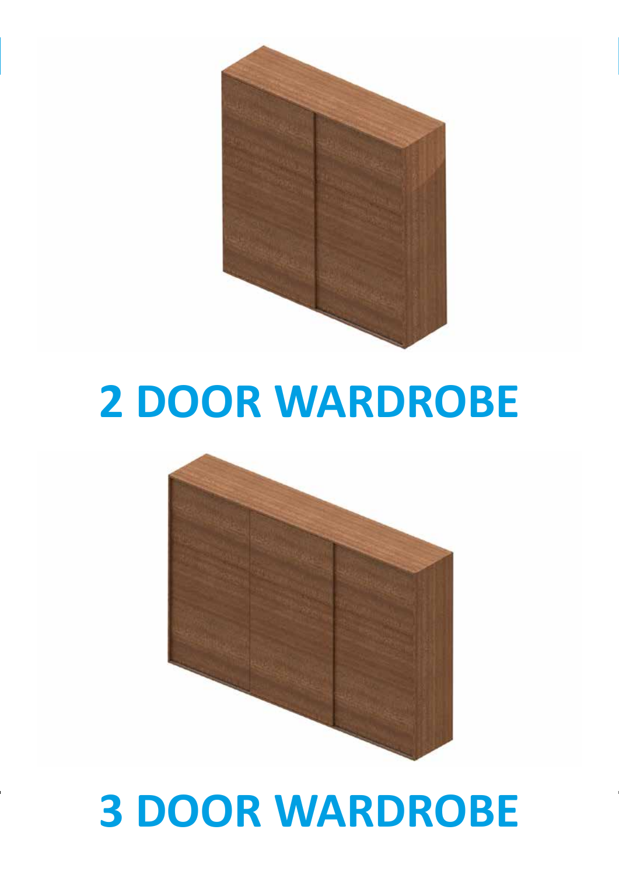![](_page_10_Picture_0.jpeg)

# **2 DOOR WARDROBE**

![](_page_10_Picture_2.jpeg)

### **Product No. 06426.87 3 DOOR WARDROBE**